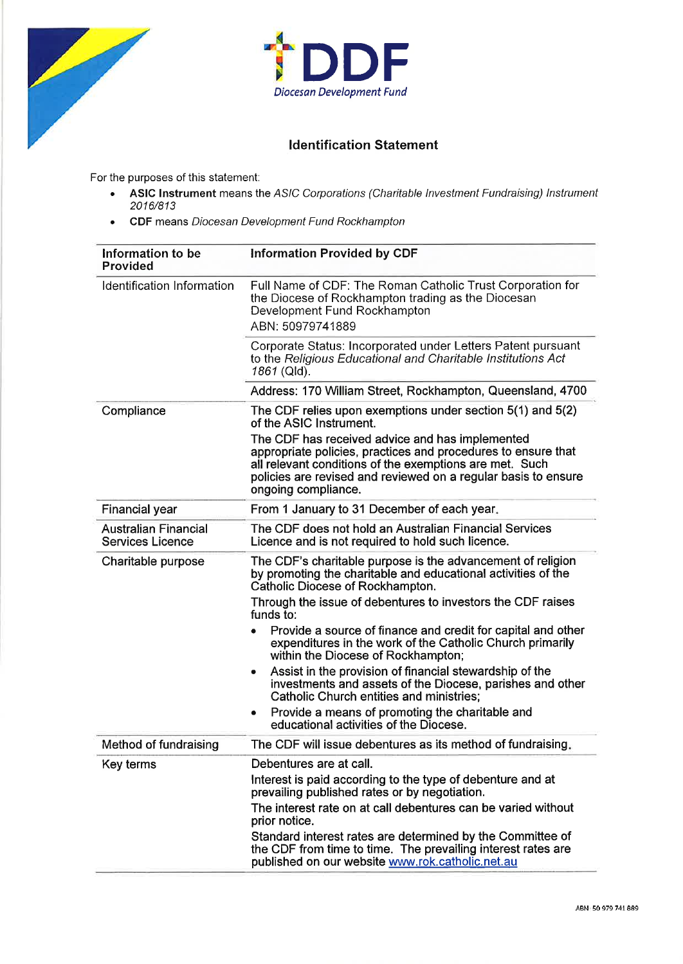



## ldentification Statement

For the purposes of this statement:

- . ASIC Instrument means the AS/C Corporations (Charitable lnvestment Fundraising) lnstrument 2016/813
- . CDF means Diocesan Development Fund Rockhampton

| Information to be<br><b>Provided</b>                   | <b>Information Provided by CDF</b>                                                                                                                                                                                                                                   |  |
|--------------------------------------------------------|----------------------------------------------------------------------------------------------------------------------------------------------------------------------------------------------------------------------------------------------------------------------|--|
| Identification Information                             | Full Name of CDF: The Roman Catholic Trust Corporation for<br>the Diocese of Rockhampton trading as the Diocesan<br>Development Fund Rockhampton<br>ABN: 50979741889                                                                                                 |  |
|                                                        | Corporate Status: Incorporated under Letters Patent pursuant<br>to the Religious Educational and Charitable Institutions Act<br>1861 (Qld).                                                                                                                          |  |
|                                                        | Address: 170 William Street, Rockhampton, Queensland, 4700                                                                                                                                                                                                           |  |
| Compliance                                             | The CDF relies upon exemptions under section 5(1) and 5(2)<br>of the ASIC Instrument.                                                                                                                                                                                |  |
|                                                        | The CDF has received advice and has implemented<br>appropriate policies, practices and procedures to ensure that<br>all relevant conditions of the exemptions are met. Such<br>policies are revised and reviewed on a regular basis to ensure<br>ongoing compliance. |  |
| <b>Financial year</b>                                  | From 1 January to 31 December of each year.                                                                                                                                                                                                                          |  |
| <b>Australian Financial</b><br><b>Services Licence</b> | The CDF does not hold an Australian Financial Services<br>Licence and is not required to hold such licence.                                                                                                                                                          |  |
| Charitable purpose                                     | The CDF's charitable purpose is the advancement of religion<br>by promoting the charitable and educational activities of the<br><b>Catholic Diocese of Rockhampton.</b>                                                                                              |  |
|                                                        | Through the issue of debentures to investors the CDF raises<br>funds to:                                                                                                                                                                                             |  |
|                                                        | Provide a source of finance and credit for capital and other<br>expenditures in the work of the Catholic Church primarily<br>within the Diocese of Rockhampton;                                                                                                      |  |
|                                                        | Assist in the provision of financial stewardship of the<br>۰<br>investments and assets of the Diocese, parishes and other<br><b>Catholic Church entities and ministries:</b>                                                                                         |  |
|                                                        | Provide a means of promoting the charitable and<br>٠<br>educational activities of the Diocese.                                                                                                                                                                       |  |
| Method of fundraising                                  | The CDF will issue debentures as its method of fundraising.                                                                                                                                                                                                          |  |
| Key terms                                              | Debentures are at call.                                                                                                                                                                                                                                              |  |
|                                                        | Interest is paid according to the type of debenture and at<br>prevailing published rates or by negotiation.                                                                                                                                                          |  |
|                                                        | The interest rate on at call debentures can be varied without<br>prior notice.                                                                                                                                                                                       |  |
|                                                        | Standard interest rates are determined by the Committee of<br>the CDF from time to time. The prevailing interest rates are<br>published on our website www.rok.catholic.net.au                                                                                       |  |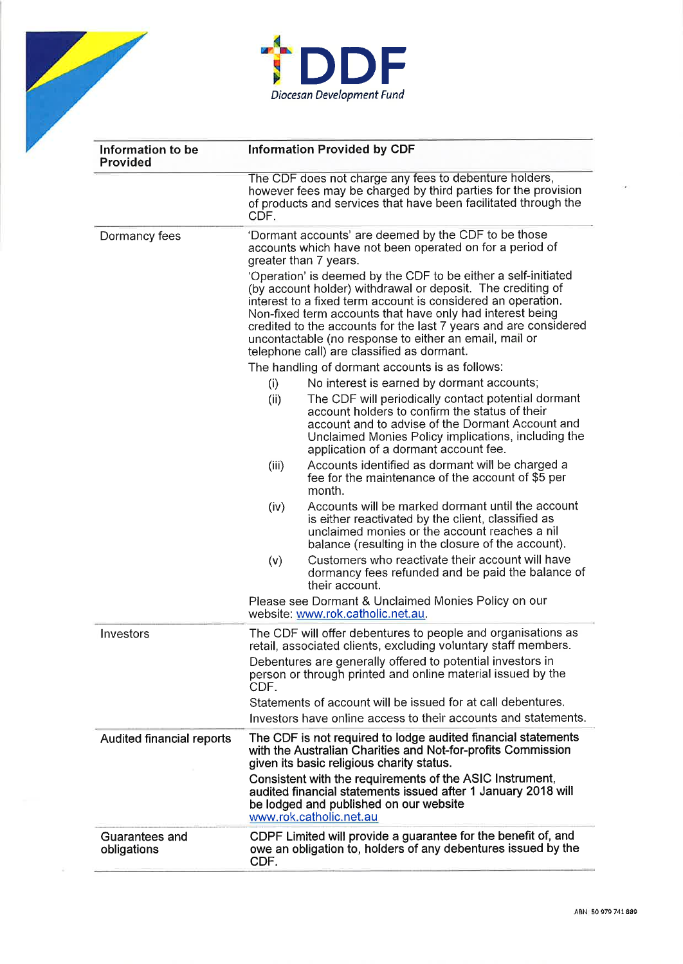



| Information to be<br><b>Provided</b> | <b>Information Provided by CDF</b>                                                                                                                                                                                                                                                                                                                                                                                                     |                                                                                                                                                                                                                                                             |  |
|--------------------------------------|----------------------------------------------------------------------------------------------------------------------------------------------------------------------------------------------------------------------------------------------------------------------------------------------------------------------------------------------------------------------------------------------------------------------------------------|-------------------------------------------------------------------------------------------------------------------------------------------------------------------------------------------------------------------------------------------------------------|--|
|                                      | The CDF does not charge any fees to debenture holders,<br>however fees may be charged by third parties for the provision<br>of products and services that have been facilitated through the<br>CDF.                                                                                                                                                                                                                                    |                                                                                                                                                                                                                                                             |  |
| Dormancy fees                        | 'Dormant accounts' are deemed by the CDF to be those<br>accounts which have not been operated on for a period of<br>greater than 7 years.                                                                                                                                                                                                                                                                                              |                                                                                                                                                                                                                                                             |  |
|                                      | 'Operation' is deemed by the CDF to be either a self-initiated<br>(by account holder) withdrawal or deposit. The crediting of<br>interest to a fixed term account is considered an operation.<br>Non-fixed term accounts that have only had interest being<br>credited to the accounts for the last 7 years and are considered<br>uncontactable (no response to either an email, mail or<br>telephone call) are classified as dormant. |                                                                                                                                                                                                                                                             |  |
|                                      | The handling of dormant accounts is as follows:                                                                                                                                                                                                                                                                                                                                                                                        |                                                                                                                                                                                                                                                             |  |
|                                      | (i)                                                                                                                                                                                                                                                                                                                                                                                                                                    | No interest is earned by dormant accounts;                                                                                                                                                                                                                  |  |
|                                      | (ii)                                                                                                                                                                                                                                                                                                                                                                                                                                   | The CDF will periodically contact potential dormant<br>account holders to confirm the status of their<br>account and to advise of the Dormant Account and<br>Unclaimed Monies Policy implications, including the<br>application of a dormant account fee.   |  |
|                                      | (iii)                                                                                                                                                                                                                                                                                                                                                                                                                                  | Accounts identified as dormant will be charged a<br>fee for the maintenance of the account of \$5 per<br>month.                                                                                                                                             |  |
|                                      | (iv)                                                                                                                                                                                                                                                                                                                                                                                                                                   | Accounts will be marked dormant until the account<br>is either reactivated by the client, classified as<br>unclaimed monies or the account reaches a nil<br>balance (resulting in the closure of the account).                                              |  |
|                                      | (v)                                                                                                                                                                                                                                                                                                                                                                                                                                    | Customers who reactivate their account will have<br>dormancy fees refunded and be paid the balance of<br>their account.                                                                                                                                     |  |
|                                      | Please see Dormant & Unclaimed Monies Policy on our<br>website: www.rok.catholic.net.au.                                                                                                                                                                                                                                                                                                                                               |                                                                                                                                                                                                                                                             |  |
| Investors                            |                                                                                                                                                                                                                                                                                                                                                                                                                                        | The CDF will offer debentures to people and organisations as<br>retail, associated clients, excluding voluntary staff members.<br>Debentures are generally offered to potential investors in<br>person or through printed and online material issued by the |  |
|                                      | CDF.<br>Statements of account will be issued for at call debentures.                                                                                                                                                                                                                                                                                                                                                                   |                                                                                                                                                                                                                                                             |  |
|                                      | Investors have online access to their accounts and statements.                                                                                                                                                                                                                                                                                                                                                                         |                                                                                                                                                                                                                                                             |  |
|                                      | The CDF is not required to lodge audited financial statements                                                                                                                                                                                                                                                                                                                                                                          |                                                                                                                                                                                                                                                             |  |
| <b>Audited financial reports</b>     | with the Australian Charities and Not-for-profits Commission<br>given its basic religious charity status.                                                                                                                                                                                                                                                                                                                              |                                                                                                                                                                                                                                                             |  |
|                                      | Consistent with the requirements of the ASIC Instrument,<br>audited financial statements issued after 1 January 2018 will<br>be lodged and published on our website<br>www.rok.catholic.net.au                                                                                                                                                                                                                                         |                                                                                                                                                                                                                                                             |  |
| Guarantees and<br>obligations        | CDPF Limited will provide a guarantee for the benefit of, and<br>owe an obligation to, holders of any debentures issued by the<br>CDF.                                                                                                                                                                                                                                                                                                 |                                                                                                                                                                                                                                                             |  |